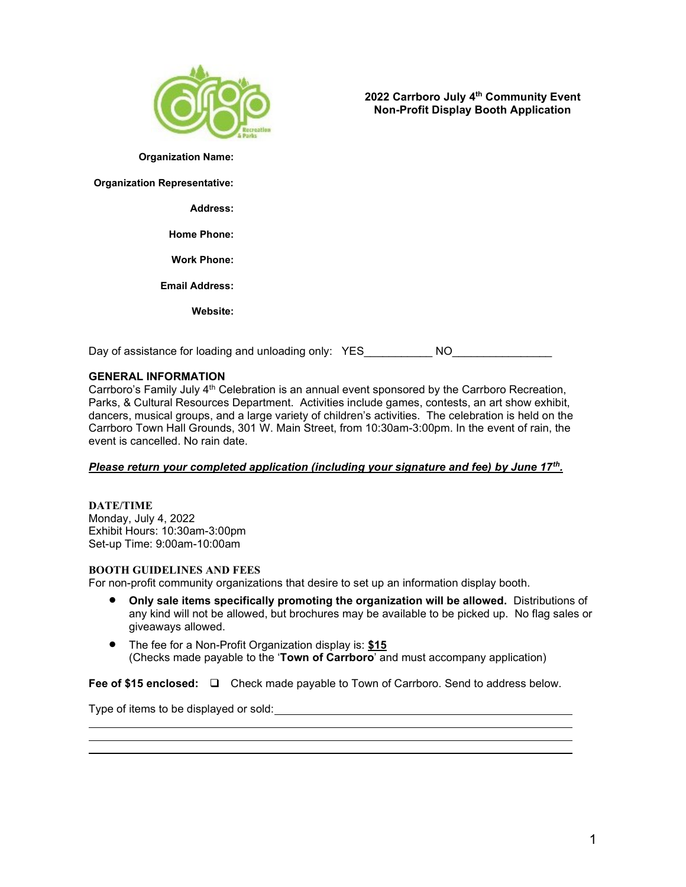

2022 Carrboro July 4th Community Event Non-Profit Display Booth Application

Organization Name:

Organization Representative:

Address:

Home Phone:

Work Phone:

Email Address:

Website:

Day of assistance for loading and unloading only: YES\_\_\_\_\_\_\_\_\_\_\_NO\_\_\_\_\_\_\_\_\_\_\_\_\_\_

# GENERAL INFORMATION

Carrboro's Family July 4<sup>th</sup> Celebration is an annual event sponsored by the Carrboro Recreation, Parks, & Cultural Resources Department. Activities include games, contests, an art show exhibit, dancers, musical groups, and a large variety of children's activities. The celebration is held on the Carrboro Town Hall Grounds, 301 W. Main Street, from 10:30am-3:00pm. In the event of rain, the event is cancelled. No rain date.

# Please return your completed application (including your signature and fee) by June 17<sup>th</sup>.

DATE/TIME Monday, July 4, 2022 Exhibit Hours: 10:30am-3:00pm Set-up Time: 9:00am-10:00am

# BOOTH GUIDELINES AND FEES

For non-profit community organizations that desire to set up an information display booth.

- Only sale items specifically promoting the organization will be allowed. Distributions of any kind will not be allowed, but brochures may be available to be picked up. No flag sales or giveaways allowed.
- The fee for a Non-Profit Organization display is: \$15 (Checks made payable to the 'Town of Carrboro' and must accompany application)

Fee of \$15 enclosed: □ Check made payable to Town of Carrboro. Send to address below.

Type of items to be displayed or sold: